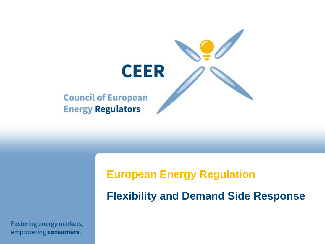

#### **European Energy Regulation**

**Flexibility and Demand Side Response** 

Fostering energy markets, empowering consumers.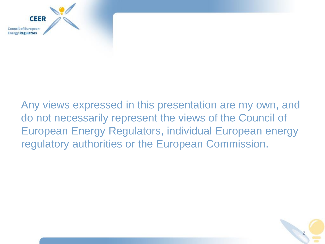

### Any views expressed in this presentation are my own, and do not necessarily represent the views of the Council of European Energy Regulators, individual European energy regulatory authorities or the European Commission.

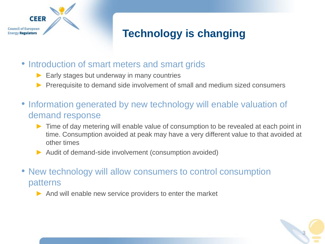

# **Technology is changing**

- Introduction of smart meters and smart grids
	- $\blacktriangleright$  Early stages but underway in many countries
	- Prerequisite to demand side involvement of small and medium sized consumers
- Information generated by new technology will enable valuation of demand response
	- ► Time of day metering will enable value of consumption to be revealed at each point in time. Consumption avoided at peak may have a very different value to that avoided at other times
	- ► Audit of demand-side involvement (consumption avoided)
- New technology will allow consumers to control consumption patterns
	- $\triangleright$  And will enable new service providers to enter the market

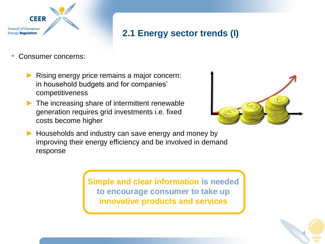

#### **2.1 Energy sector trends (I)**

- Consumer concerns:
	- Rising energy price remains a major concern: in household budgets and for companies' competitiveness
	- $\blacktriangleright$  The increasing share of intermittent renewable generation requires grid investments i.e. fixed costs become higher



► Households and industry can save energy and money by improving their energy efficiency and be involved in demand response

> **Simple and clear information is needed to encourage consumer to take up innovative products and services**

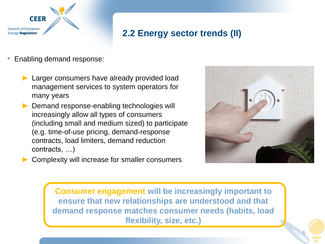

#### **2.2 Energy sector trends (II)**

- Enabling demand response:
	- ► Larger consumers have already provided load management services to system operators for many years
	- ► Demand response-enabling technologies will increasingly allow all types of consumers (including small and medium sized) to participate (e.g. time-of-use pricing, demand-response contracts, load limiters, demand reduction contracts, …)
- 
- Complexity will increase for smaller consumers

**Consumer engagement will be increasingly important to ensure that new relationships are understood and that demand response matches consumer needs (habits, load flexibility, size, etc.)**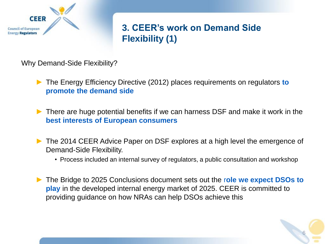

#### **3. CEER's work on Demand Side Flexibility (1)**

Why Demand-Side Flexibility?

- ► The Energy Efficiency Directive (2012) places requirements on regulators **to promote the demand side**
- ► There are huge potential benefits if we can harness DSF and make it work in the **best interests of European consumers**
- ► The 2014 CEER Advice Paper on DSF explores at a high level the emergence of Demand-Side Flexibility.
	- Process included an internal survey of regulators, a public consultation and workshop
- ► The Bridge to 2025 Conclusions document sets out the r**ole we expect DSOs to play** in the developed internal energy market of 2025. CEER is committed to providing guidance on how NRAs can help DSOs achieve this

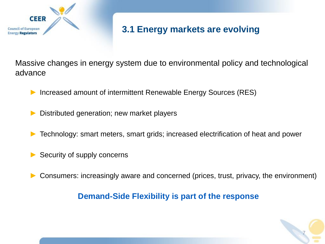

#### **3.1 Energy markets are evolving**

Massive changes in energy system due to environmental policy and technological advance

► Increased amount of intermittent Renewable Energy Sources (RES)

Distributed generation; new market players

- Technology: smart meters, smart grids; increased electrification of heat and power
- Security of supply concerns
- Consumers: increasingly aware and concerned (prices, trust, privacy, the environment)

#### **Demand-Side Flexibility is part of the response**

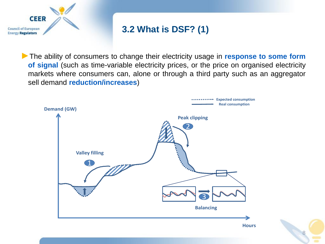

#### **3.2 What is DSF? (1)**

►The ability of consumers to change their electricity usage in **response to some form of signal** (such as time-variable electricity prices, or the price on organised electricity markets where consumers can, alone or through a third party such as an aggregator sell demand **reduction/increases**)



8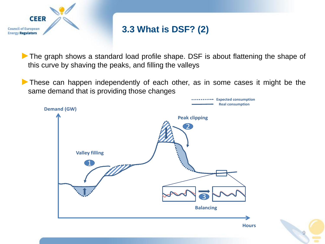

#### **3.3 What is DSF? (2)**

▶ The graph shows a standard load profile shape. DSF is about flattening the shape of this curve by shaving the peaks, and filling the valleys

► These can happen independently of each other, as in some cases it might be the same demand that is providing those changes



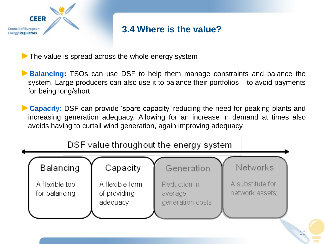

#### **3.4 Where is the value?**

 $\blacktriangleright$  The value is spread across the whole energy system

►**Balancing:** TSOs can use DSF to help them manage constraints and balance the system. Large producers can also use it to balance their portfolios – to avoid payments for being long/short

►**Capacity:** DSF can provide 'spare capacity' reducing the need for peaking plants and increasing generation adequacy. Allowing for an increase in demand at times also avoids having to curtail wind generation, again improving adequacy



DSF value throughout the energy system

10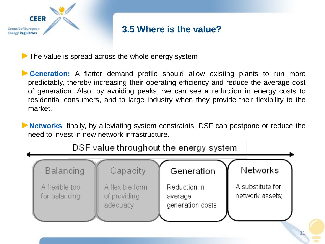

#### **3.5 Where is the value?**

 $\blacktriangleright$  The value is spread across the whole energy system

▶ Generation: A flatter demand profile should allow existing plants to run more predictably, thereby increasing their operating efficiency and reduce the average cost of generation. Also, by avoiding peaks, we can see a reduction in energy costs to residential consumers, and to large industry when they provide their flexibility to the market.

►**Networks**: finally, by alleviating system constraints, DSF can postpone or reduce the need to invest in new network infrastructure.



#### DSF value throughout the energy system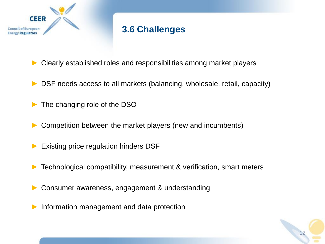

#### **3.6 Challenges**

- Clearly established roles and responsibilities among market players
- DSF needs access to all markets (balancing, wholesale, retail, capacity)
- The changing role of the DSO
- Competition between the market players (new and incumbents)
- Existing price regulation hinders DSF
- Technological compatibility, measurement & verification, smart meters
- Consumer awareness, engagement & understanding
- ► Information management and data protection

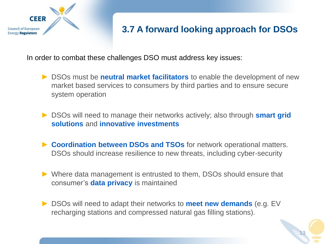

#### **3.7 A forward looking approach for DSOs**

In order to combat these challenges DSO must address key issues:

- ► DSOs must be **neutral market facilitators** to enable the development of new market based services to consumers by third parties and to ensure secure system operation
- ► DSOs will need to manage their networks actively; also through **smart grid solutions** and **innovative investments**
- ► Coordination between DSOs and TSOs for network operational matters. DSOs should increase resilience to new threats, including cyber-security
- ► Where data management is entrusted to them, DSOs should ensure that consumer's **data privacy** is maintained
- ► DSOs will need to adapt their networks to **meet new demands** (e.g. EV recharging stations and compressed natural gas filling stations).

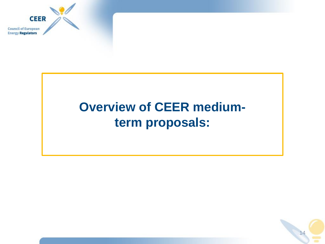

# **Overview of CEER mediumterm proposals:**

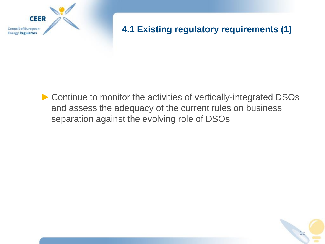

#### **4.1 Existing regulatory requirements (1)**

15

►Continue to monitor the activities of vertically-integrated DSOs and assess the adequacy of the current rules on business separation against the evolving role of DSOs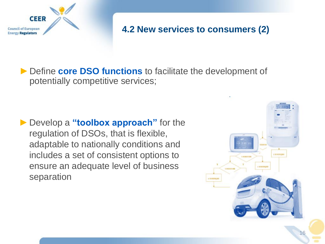

#### **4.2 New services to consumers (2)**

►Define **core DSO functions** to facilitate the development of potentially competitive services;

►Develop a **"toolbox approach"** for the regulation of DSOs, that is flexible, adaptable to nationally conditions and includes a set of consistent options to ensure an adequate level of business separation

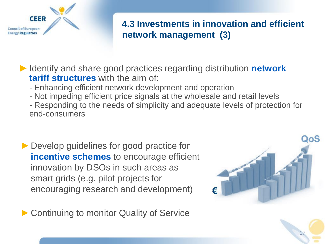

#### **4.3 Investments in innovation and efficient network management (3)**

►Identify and share good practices regarding distribution **network tariff structures** with the aim of:

- Enhancing efficient network development and operation
- Not impeding efficient price signals at the wholesale and retail levels
- Responding to the needs of simplicity and adequate levels of protection for end-consumers
- ▶ Develop guidelines for good practice for **incentive schemes** to encourage efficient innovation by DSOs in such areas as smart grids (e.g. pilot projects for encouraging research and development)

▶ Continuing to monitor Quality of Service



17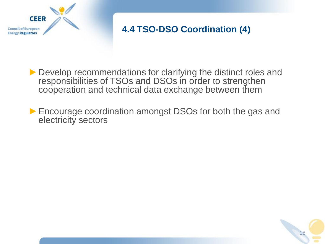

#### **4.4 TSO-DSO Coordination (4)**

18

▶ Develop recommendations for clarifying the distinct roles and responsibilities of TSOs and DSOs in order to strengthen cooperation and technical data exchange between them

► Encourage coordination amongst DSOs for both the gas and electricity sectors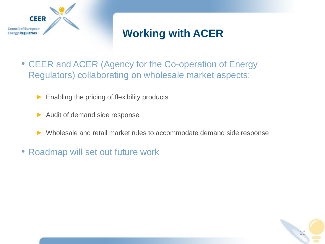

# **Working with ACER**

- CEER and ACER (Agency for the Co-operation of Energy Regulators) collaborating on wholesale market aspects:
	- $\blacktriangleright$  Enabling the pricing of flexibility products
	- Audit of demand side response
	- Wholesale and retail market rules to accommodate demand side response

19

• Roadmap will set out future work